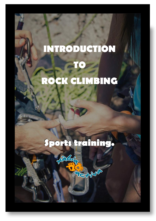# **INTRODUCTION TO ROCK CLIMBING**

# **Sports training.**

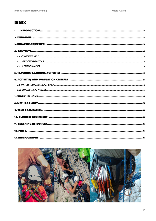# **ÍNDEX**

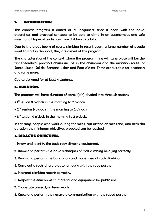#### **1. INTRODUCTION**

This didactic program is aimed at all beginners, since it deals with the basic, theoretical and practical concepts to be able to climb in an autonomous and safe way. For all types of audiences from children to adults.

Due to the great boom of sports climbing in recent years, a large number of people want to start in this sport, they are aimed at this program.

The characteristics of the context where the programming will take place will be: the first theoretical-practical classes will be in the classroom and the initiation routes of Santa Llucia, Sol del Barranc, Lliber and Font d'Aixa. These are suitable for beginners and some more.

Course designed for at least 4 students.

#### **2. DURATION.**

The program will have duration of aprox (15h) divided into three 5h sessions:

- $\bullet$  1st session 9 o'clock in the morning to 2 o'clock.
- $\bullet$  2 $^{\sf{nd}}$  session 9 o'clock in the morning to 2 o'clock.
- $\bullet$  3 $^{\rm th}$  session 9 o'clock in the morning to 2 o'clock.

In this way, people who work during the week can attend on weekend, and with this duration the minimum objectives proposed can be reached.

#### **3. DIDACTIC OBJECTIVES.**

1. Know and identify the basic rock climbing equipment.

- 2. Know and perform the basic techniques of rock climbing belaying correctly.
- 3. Know and perform the basic knots and maneuvers of rock climbing.
- 4. Carry out a rock itinerary autonomously with the rope partner.
- 5. Interpret climbing reports correctly.
- 6. Respect the environment, material and equipment for public use.
- 7. Cooperate correctly in team work.
- 8. Know and perform the necessary communication with the roped partner.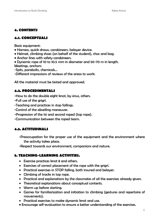#### **4. CONTENTS**

## **4.1. CONCEPTUALS**

Basic equipment:

- Harness, quick draws, carabineers, belayer device.
- Helmet, climbing shoes (on behalf of the student), choc and bag.
- Anchor lines with safety carabineers.
- Dynamic rope of 10 to 10.5 mm in diameter and 50-70 m in length. Meetings, anchors:

-Spits, parabolts, chemicals...

-Different impressions of reviews of the areas to work.

All the material must be tested and approved.

#### **4.2. PROCEDIMENTALS**

-How to do the double eight knot, by sinus, others.

-Full use of the grigrí.

-Teaching and practices in stop fallings.

- -Control of the abseiling maneuver.
- -Progression of the 1st and second roped (top rope).

-Communication between the roped team.

# **4.3. ACTITUDINALS**

-Preoccupation for the proper use of the equipment and the environment where the activity takes place.

-Respect towards our environment, companions and nature.

# **5. TEACHING-LEARNING ACTIVITIES.**

- Exercise practices knot 8 and others.
- Exercises of correct placement of the rope with the grigrí.
- Practical exercises in STOP falling, both insured and belayer.
- Climbing of tracks in top rope.
- Practical and explanations by the classmates of all the exercises already given.
- Theoretical explanations about conceptual contents.
- Warm up before starting.
- Games for familiarization and initiation to climbing (gestures and repertoire of movements).
- Practical exercises to make dynamic knot and use.
- Encourage self-evaluation to ensure a better understanding of the exercises.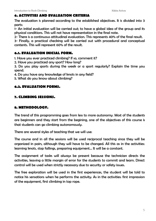# **6. ACTIVITIES AND EVALUATION CRITERIA**

The evaluation is planned according to the established objectives. It is divided into 3 parts:

1- An initial evaluation will be carried out; to have a global idea of the group and its physical conditions. This will not have representation in the final note.

2- There is a continuous attitudinal evaluation. This represents 40% of the final result.

3- Finally, a practical checking will be carried out with procedural and conceptual contents. This will represent 60% of the result.

# **6.1. EVALUATION INICIAL FORM.**

1. Have you ever practiced climbing? If so, comment it?

2. Have you practiced any sport? How long?

3. Do you play sports during the week or a sport regularly? Explain the time you spend.

4. Do you have any knowledge of knots in any field?

5. What do you know about climbing?

#### **6.2. EVALUATION FORMS.**

# **7. CLIMBING SESSIONS.**

# **8. METHODOLOGY.**

The trend of this programming goes from less to more autonomy. Most of the students are beginners and they start from the begining, one of the objectives of this course is that students can go climbing autonomously.

There are several styles of teaching that we will use:

The course and in all the sessions will be used reciprocal teaching since they will be organized in pairs, although they will have to be changed. All this as in the activities: learning knots, stop fallings, preparing equipment... It will be a constant.

The assignment of tasks will always be present because the technician directs the activities, leaving a little margin of error for the students to commit and learn. Direct control will be used when strictly necessary due to security or safety issues.

The free exploration will be used in the first experiences, the student will be told to notice his sensations when he performs the activity. As in the activities: first impression of the equipment, first climbing in top rope.